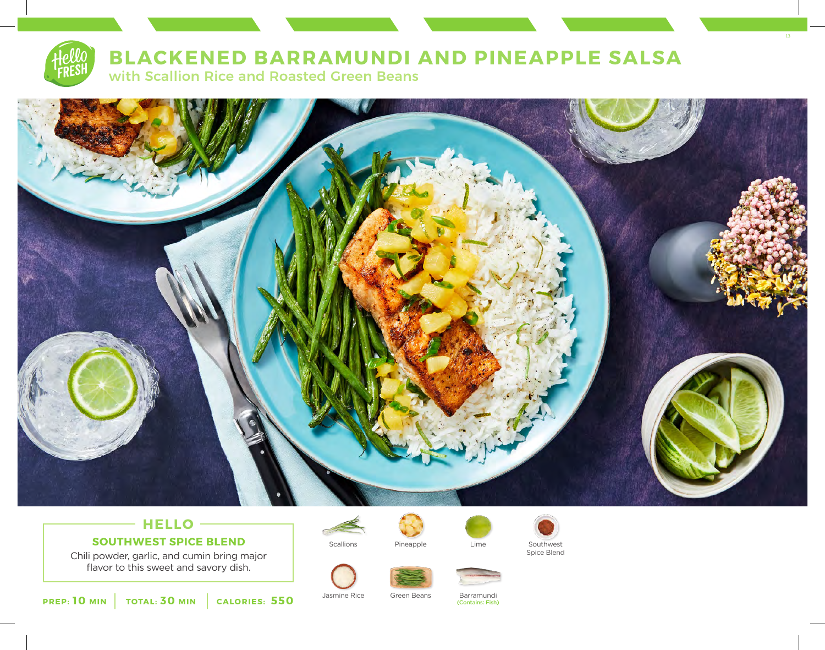

# **BLACKENED BARRAMUNDI AND PINEAPPLE SALSA**

with Scallion Rice and Roasted Green Beans



# **HELLO SOUTHWEST SPICE BLEND**

Chili powder, garlic, and cumin bring major flavor to this sweet and savory dish.



Scallions **Scallions** Pineapple **Southwest** Lime Southwest Pineapple



Spice Blend

13



(Contains: Fish)

**PREP: 10 MIN TOTAL: 30 MIN CALORIES: 550**

Jasmine Rice Green Beans Barramundi